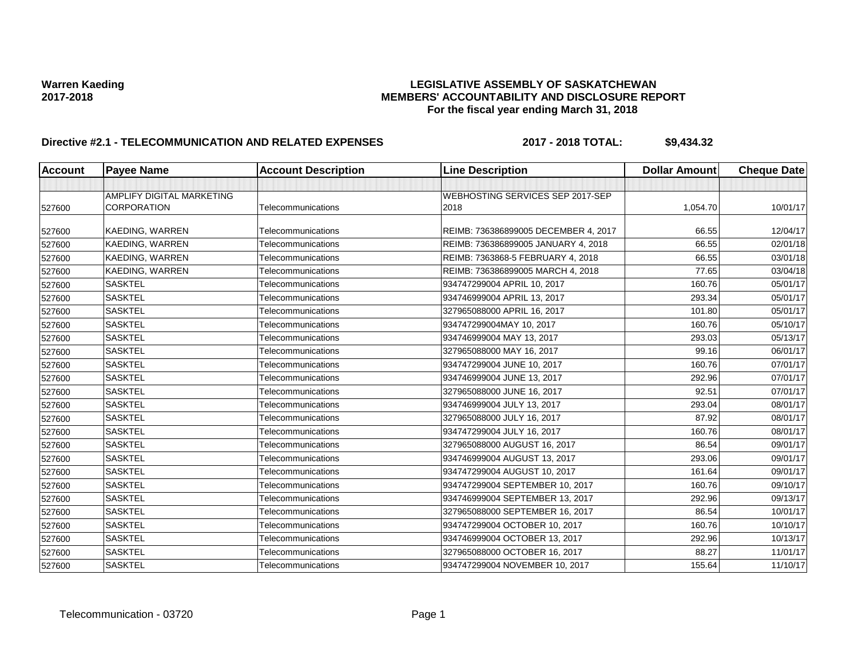# Warren Kaeding<br>LEGISLATIVE ASSEMBLY OF SASKATCHEWAN<br>MEMBERS' ACCOUNTABILITY AND DISCLOSURE REF **2017-2018 MEMBERS' ACCOUNTABILITY AND DISCLOSURE REPORT For the fiscal year ending March 31, 2018**

# **Directive #2.1 - TELECOMMUNICATION AND RELATED EXPENSES 2017 - 2018 TOTAL: \$9,434.32**

| <b>Account</b> | <b>Payee Name</b>         | <b>Account Description</b> | <b>Line Description</b>              | <b>Dollar Amount</b> | <b>Cheque Date</b> |
|----------------|---------------------------|----------------------------|--------------------------------------|----------------------|--------------------|
|                |                           |                            |                                      |                      |                    |
|                | AMPLIFY DIGITAL MARKETING |                            | WEBHOSTING SERVICES SEP 2017-SEP     |                      |                    |
| 527600         | <b>CORPORATION</b>        | Telecommunications         | 2018                                 | 1,054.70             | 10/01/17           |
| 527600         | <b>KAEDING, WARREN</b>    | Telecommunications         | REIMB: 736386899005 DECEMBER 4, 2017 | 66.55                | 12/04/17           |
| 527600         | KAEDING, WARREN           | Telecommunications         | REIMB: 736386899005 JANUARY 4, 2018  | 66.55                | 02/01/18           |
| 527600         | KAEDING, WARREN           | Telecommunications         | REIMB: 7363868-5 FEBRUARY 4, 2018    | 66.55                | 03/01/18           |
| 527600         | <b>KAEDING, WARREN</b>    | Telecommunications         | REIMB: 736386899005 MARCH 4, 2018    | 77.65                | 03/04/18           |
| 527600         | <b>SASKTEL</b>            | Telecommunications         | 934747299004 APRIL 10, 2017          | 160.76               | 05/01/17           |
| 527600         | <b>SASKTEL</b>            | Telecommunications         | 934746999004 APRIL 13, 2017          | 293.34               | 05/01/17           |
| 527600         | <b>SASKTEL</b>            | Telecommunications         | 327965088000 APRIL 16, 2017          | 101.80               | 05/01/17           |
| 527600         | <b>SASKTEL</b>            | Telecommunications         | 934747299004MAY 10, 2017             | 160.76               | 05/10/17           |
| 527600         | <b>SASKTEL</b>            | Telecommunications         | 934746999004 MAY 13, 2017            | 293.03               | 05/13/17           |
| 527600         | <b>SASKTEL</b>            | Telecommunications         | 327965088000 MAY 16, 2017            | 99.16                | 06/01/17           |
| 527600         | <b>SASKTEL</b>            | Telecommunications         | 934747299004 JUNE 10, 2017           | 160.76               | 07/01/17           |
| 527600         | <b>SASKTEL</b>            | Telecommunications         | 934746999004 JUNE 13, 2017           | 292.96               | 07/01/17           |
| 527600         | <b>SASKTEL</b>            | Telecommunications         | 327965088000 JUNE 16, 2017           | 92.51                | 07/01/17           |
| 527600         | <b>SASKTEL</b>            | Telecommunications         | 934746999004 JULY 13, 2017           | 293.04               | 08/01/17           |
| 527600         | <b>SASKTEL</b>            | Telecommunications         | 327965088000 JULY 16, 2017           | 87.92                | 08/01/17           |
| 527600         | <b>SASKTEL</b>            | Telecommunications         | 934747299004 JULY 16, 2017           | 160.76               | 08/01/17           |
| 527600         | <b>SASKTEL</b>            | Telecommunications         | 327965088000 AUGUST 16, 2017         | 86.54                | 09/01/17           |
| 527600         | <b>SASKTEL</b>            | Telecommunications         | 934746999004 AUGUST 13, 2017         | 293.06               | 09/01/17           |
| 527600         | <b>SASKTEL</b>            | Telecommunications         | 934747299004 AUGUST 10, 2017         | 161.64               | 09/01/17           |
| 527600         | <b>SASKTEL</b>            | Telecommunications         | 934747299004 SEPTEMBER 10, 2017      | 160.76               | 09/10/17           |
| 527600         | <b>SASKTEL</b>            | Telecommunications         | 934746999004 SEPTEMBER 13, 2017      | 292.96               | 09/13/17           |
| 527600         | <b>SASKTEL</b>            | Telecommunications         | 327965088000 SEPTEMBER 16, 2017      | 86.54                | 10/01/17           |
| 527600         | <b>SASKTEL</b>            | Telecommunications         | 934747299004 OCTOBER 10, 2017        | 160.76               | 10/10/17           |
| 527600         | <b>SASKTEL</b>            | Telecommunications         | 934746999004 OCTOBER 13, 2017        | 292.96               | 10/13/17           |
| 527600         | <b>SASKTEL</b>            | Telecommunications         | 327965088000 OCTOBER 16, 2017        | 88.27                | 11/01/17           |
| 527600         | <b>SASKTEL</b>            | Telecommunications         | 934747299004 NOVEMBER 10, 2017       | 155.64               | 11/10/17           |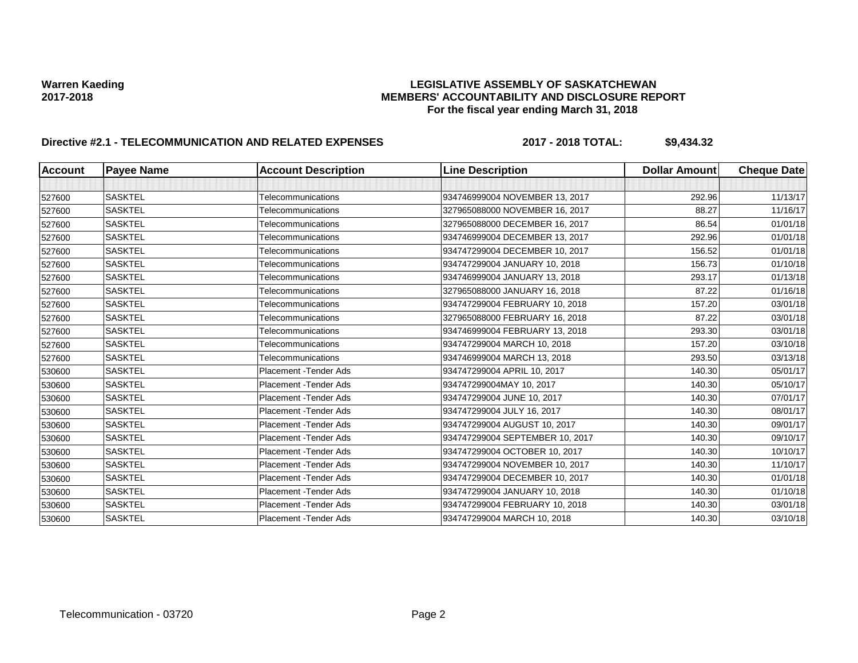# Warren Kaeding<br>LEGISLATIVE ASSEMBLY OF SASKATCHEWAN<br>MEMBERS' ACCOUNTABILITY AND DISCLOSURE REF **2017-2018 MEMBERS' ACCOUNTABILITY AND DISCLOSURE REPORT For the fiscal year ending March 31, 2018**

# **Directive #2.1 - TELECOMMUNICATION AND RELATED EXPENSES 2017 - 2018 TOTAL: \$9,434.32**

| <b>Account</b> | <b>Payee Name</b> | <b>Account Description</b>    | <b>Line Description</b>         | <b>Dollar Amount</b> | <b>Cheque Date</b> |
|----------------|-------------------|-------------------------------|---------------------------------|----------------------|--------------------|
|                |                   |                               |                                 |                      |                    |
| 527600         | <b>SASKTEL</b>    | Telecommunications            | 934746999004 NOVEMBER 13, 2017  | 292.96               | 11/13/17           |
| 527600         | <b>SASKTEL</b>    | Telecommunications            | 327965088000 NOVEMBER 16, 2017  | 88.27                | 11/16/17           |
| 527600         | <b>SASKTEL</b>    | Telecommunications            | 327965088000 DECEMBER 16, 2017  | 86.54                | 01/01/18           |
| 527600         | <b>SASKTEL</b>    | Telecommunications            | 934746999004 DECEMBER 13, 2017  | 292.96               | 01/01/18           |
| 527600         | <b>SASKTEL</b>    | Telecommunications            | 934747299004 DECEMBER 10, 2017  | 156.52               | 01/01/18           |
| 527600         | <b>SASKTEL</b>    | Telecommunications            | 934747299004 JANUARY 10, 2018   | 156.73               | 01/10/18           |
| 527600         | <b>SASKTEL</b>    | Telecommunications            | 934746999004 JANUARY 13, 2018   | 293.17               | 01/13/18           |
| 527600         | <b>SASKTEL</b>    | Telecommunications            | 327965088000 JANUARY 16, 2018   | 87.22                | 01/16/18           |
| 527600         | <b>SASKTEL</b>    | Telecommunications            | 934747299004 FEBRUARY 10, 2018  | 157.20               | 03/01/18           |
| 527600         | <b>SASKTEL</b>    | Telecommunications            | 327965088000 FEBRUARY 16, 2018  | 87.22                | 03/01/18           |
| 527600         | <b>SASKTEL</b>    | Telecommunications            | 934746999004 FEBRUARY 13, 2018  | 293.30               | 03/01/18           |
| 527600         | <b>SASKTEL</b>    | Telecommunications            | 934747299004 MARCH 10, 2018     | 157.20               | 03/10/18           |
| 527600         | <b>SASKTEL</b>    | Telecommunications            | 934746999004 MARCH 13, 2018     | 293.50               | 03/13/18           |
| 530600         | <b>SASKTEL</b>    | Placement - Tender Ads        | 934747299004 APRIL 10, 2017     | 140.30               | 05/01/17           |
| 530600         | <b>SASKTEL</b>    | Placement - Tender Ads        | 934747299004MAY 10, 2017        | 140.30               | 05/10/17           |
| 530600         | <b>SASKTEL</b>    | Placement - Tender Ads        | 934747299004 JUNE 10, 2017      | 140.30               | 07/01/17           |
| 530600         | <b>SASKTEL</b>    | Placement - Tender Ads        | 934747299004 JULY 16, 2017      | 140.30               | 08/01/17           |
| 530600         | <b>SASKTEL</b>    | Placement - Tender Ads        | 934747299004 AUGUST 10, 2017    | 140.30               | 09/01/17           |
| 530600         | <b>SASKTEL</b>    | <b>Placement - Tender Ads</b> | 934747299004 SEPTEMBER 10, 2017 | 140.30               | 09/10/17           |
| 530600         | <b>SASKTEL</b>    | <b>Placement - Tender Ads</b> | 934747299004 OCTOBER 10, 2017   | 140.30               | 10/10/17           |
| 530600         | <b>SASKTEL</b>    | Placement - Tender Ads        | 934747299004 NOVEMBER 10, 2017  | 140.30               | 11/10/17           |
| 530600         | <b>SASKTEL</b>    | <b>Placement - Tender Ads</b> | 934747299004 DECEMBER 10, 2017  | 140.30               | 01/01/18           |
| 530600         | <b>SASKTEL</b>    | Placement - Tender Ads        | 934747299004 JANUARY 10, 2018   | 140.30               | 01/10/18           |
| 530600         | <b>SASKTEL</b>    | Placement - Tender Ads        | 934747299004 FEBRUARY 10, 2018  | 140.30               | 03/01/18           |
| 530600         | <b>SASKTEL</b>    | <b>Placement - Tender Ads</b> | 934747299004 MARCH 10, 2018     | 140.30               | 03/10/18           |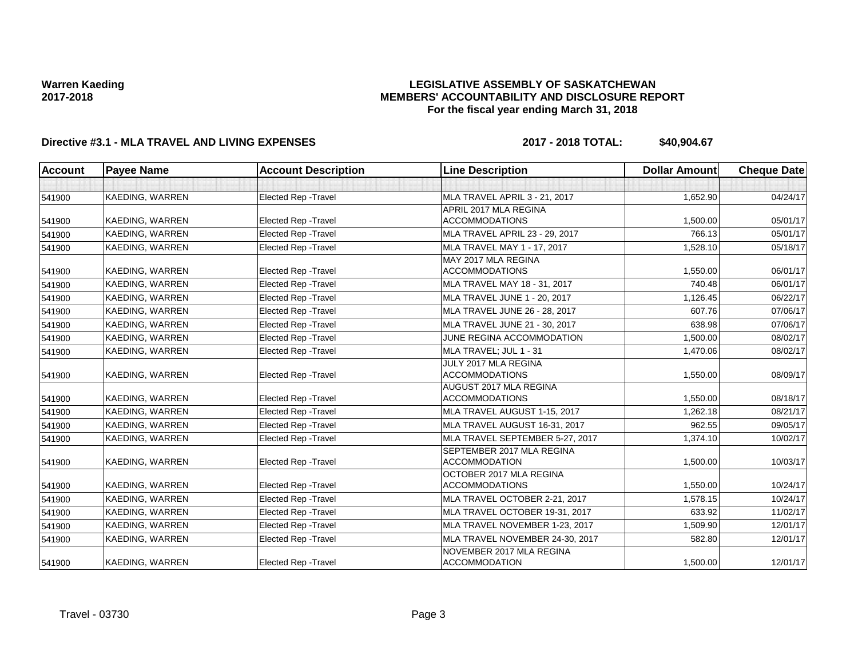### **LEGISLATIVE ASSEMBLY OF SASKATCHEWAN MEMBERS' ACCOUNTABILITY AND DISCLOSURE REPORT For the fiscal year ending March 31, 2018**

## **Directive #3.1 - MLA TRAVEL AND LIVING EXPENSES 2017 - 2018 TOTAL: \$40,904.67**

| <b>Account</b> | <b>Payee Name</b>      | <b>Account Description</b>  | <b>Line Description</b>         | <b>Dollar Amount</b> | <b>Cheque Date</b> |
|----------------|------------------------|-----------------------------|---------------------------------|----------------------|--------------------|
|                |                        |                             |                                 |                      |                    |
| 541900         | KAEDING, WARREN        | Elected Rep - Travel        | MLA TRAVEL APRIL 3 - 21, 2017   | 1,652.90             | 04/24/17           |
|                |                        |                             | APRIL 2017 MLA REGINA           |                      |                    |
| 541900         | KAEDING, WARREN        | Elected Rep - Travel        | <b>ACCOMMODATIONS</b>           | 1.500.00             | 05/01/17           |
| 541900         | <b>KAEDING, WARREN</b> | Elected Rep - Travel        | MLA TRAVEL APRIL 23 - 29, 2017  | 766.13               | 05/01/17           |
| 541900         | KAEDING, WARREN        | Elected Rep - Travel        | MLA TRAVEL MAY 1 - 17, 2017     | 1,528.10             | 05/18/17           |
|                |                        |                             | MAY 2017 MLA REGINA             |                      |                    |
| 541900         | KAEDING, WARREN        | <b>Elected Rep - Travel</b> | <b>ACCOMMODATIONS</b>           | 1,550.00             | 06/01/17           |
| 541900         | <b>KAEDING, WARREN</b> | <b>Elected Rep - Travel</b> | MLA TRAVEL MAY 18 - 31, 2017    | 740.48               | 06/01/17           |
| 541900         | KAEDING, WARREN        | Elected Rep - Travel        | MLA TRAVEL JUNE 1 - 20, 2017    | 1,126.45             | 06/22/17           |
| 541900         | <b>KAEDING, WARREN</b> | Elected Rep - Travel        | MLA TRAVEL JUNE 26 - 28, 2017   | 607.76               | 07/06/17           |
| 541900         | KAEDING, WARREN        | Elected Rep - Travel        | MLA TRAVEL JUNE 21 - 30, 2017   | 638.98               | 07/06/17           |
| 541900         | <b>KAEDING, WARREN</b> | Elected Rep - Travel        | JUNE REGINA ACCOMMODATION       | 1,500.00             | 08/02/17           |
| 541900         | KAEDING, WARREN        | <b>Elected Rep - Travel</b> | MLA TRAVEL; JUL 1 - 31          | 1,470.06             | 08/02/17           |
|                |                        |                             | JULY 2017 MLA REGINA            |                      |                    |
| 541900         | KAEDING, WARREN        | Elected Rep - Travel        | <b>ACCOMMODATIONS</b>           | 1,550.00             | 08/09/17           |
|                |                        |                             | AUGUST 2017 MLA REGINA          |                      |                    |
| 541900         | KAEDING, WARREN        | Elected Rep - Travel        | <b>ACCOMMODATIONS</b>           | 1,550.00             | 08/18/17           |
| 541900         | KAEDING, WARREN        | Elected Rep - Travel        | MLA TRAVEL AUGUST 1-15, 2017    | 1,262.18             | 08/21/17           |
| 541900         | <b>KAEDING, WARREN</b> | <b>Elected Rep - Travel</b> | MLA TRAVEL AUGUST 16-31, 2017   | 962.55               | 09/05/17           |
| 541900         | <b>KAEDING, WARREN</b> | Elected Rep - Travel        | MLA TRAVEL SEPTEMBER 5-27, 2017 | 1,374.10             | 10/02/17           |
|                |                        |                             | SEPTEMBER 2017 MLA REGINA       |                      |                    |
| 541900         | KAEDING, WARREN        | Elected Rep - Travel        | <b>ACCOMMODATION</b>            | 1,500.00             | 10/03/17           |
|                |                        |                             | OCTOBER 2017 MLA REGINA         |                      |                    |
| 541900         | KAEDING, WARREN        | <b>Elected Rep - Travel</b> | <b>ACCOMMODATIONS</b>           | 1,550.00             | 10/24/17           |
| 541900         | KAEDING, WARREN        | Elected Rep - Travel        | MLA TRAVEL OCTOBER 2-21, 2017   | 1,578.15             | 10/24/17           |
| 541900         | <b>KAEDING, WARREN</b> | Elected Rep - Travel        | MLA TRAVEL OCTOBER 19-31, 2017  | 633.92               | 11/02/17           |
| 541900         | <b>KAEDING, WARREN</b> | Elected Rep - Travel        | MLA TRAVEL NOVEMBER 1-23, 2017  | 1,509.90             | 12/01/17           |
| 541900         | KAEDING, WARREN        | <b>Elected Rep - Travel</b> | MLA TRAVEL NOVEMBER 24-30, 2017 | 582.80               | 12/01/17           |
|                |                        |                             | NOVEMBER 2017 MLA REGINA        |                      |                    |
| 541900         | KAEDING, WARREN        | <b>Elected Rep - Travel</b> | <b>ACCOMMODATION</b>            | 1,500.00             | 12/01/17           |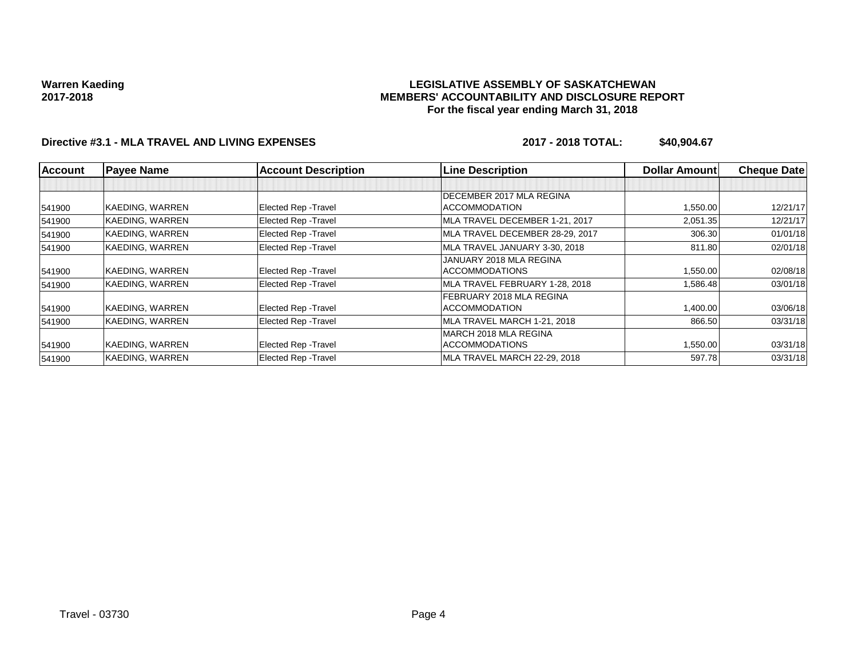### **LEGISLATIVE ASSEMBLY OF SASKATCHEWAN MEMBERS' ACCOUNTABILITY AND DISCLOSURE REPORT For the fiscal year ending March 31, 2018**

## **Directive #3.1 - MLA TRAVEL AND LIVING EXPENSES 2017 - 2018 TOTAL: \$40,904.67**

| <b>Account</b> | <b>Payee Name</b> | <b>Account Description</b>  | <b>Line Description</b>         | <b>Dollar Amount</b> | <b>Cheque Date</b> |
|----------------|-------------------|-----------------------------|---------------------------------|----------------------|--------------------|
|                |                   |                             |                                 |                      |                    |
|                |                   |                             | DECEMBER 2017 MLA REGINA        |                      |                    |
| 541900         | KAEDING, WARREN   | Elected Rep - Travel        | <b>ACCOMMODATION</b>            | 1,550.00             | 12/21/17           |
| 541900         | KAEDING, WARREN   | Elected Rep - Travel        | MLA TRAVEL DECEMBER 1-21, 2017  | 2,051.35             | 12/21/17           |
| 541900         | KAEDING, WARREN   | <b>Elected Rep - Travel</b> | MLA TRAVEL DECEMBER 28-29, 2017 | 306.30               | 01/01/18           |
| 541900         | KAEDING, WARREN   | <b>Elected Rep - Travel</b> | MLA TRAVEL JANUARY 3-30, 2018   | 811.80               | 02/01/18           |
|                |                   |                             | JANUARY 2018 MLA REGINA         |                      |                    |
| 541900         | KAEDING, WARREN   | Elected Rep - Travel        | <b>ACCOMMODATIONS</b>           | 1,550.00             | 02/08/18           |
| 541900         | KAEDING, WARREN   | <b>Elected Rep - Travel</b> | MLA TRAVEL FEBRUARY 1-28, 2018  | 1,586.48             | 03/01/18           |
|                |                   |                             | FEBRUARY 2018 MLA REGINA        |                      |                    |
| 541900         | KAEDING, WARREN   | Elected Rep - Travel        | <b>ACCOMMODATION</b>            | 1,400.00             | 03/06/18           |
| 541900         | KAEDING, WARREN   | Elected Rep - Travel        | MLA TRAVEL MARCH 1-21, 2018     | 866.50               | 03/31/18           |
|                |                   |                             | MARCH 2018 MLA REGINA           |                      |                    |
| 541900         | KAEDING, WARREN   | Elected Rep - Travel        | <b>ACCOMMODATIONS</b>           | 1,550.00             | 03/31/18           |
| 541900         | KAEDING, WARREN   | Elected Rep - Travel        | MLA TRAVEL MARCH 22-29, 2018    | 597.78               | 03/31/18           |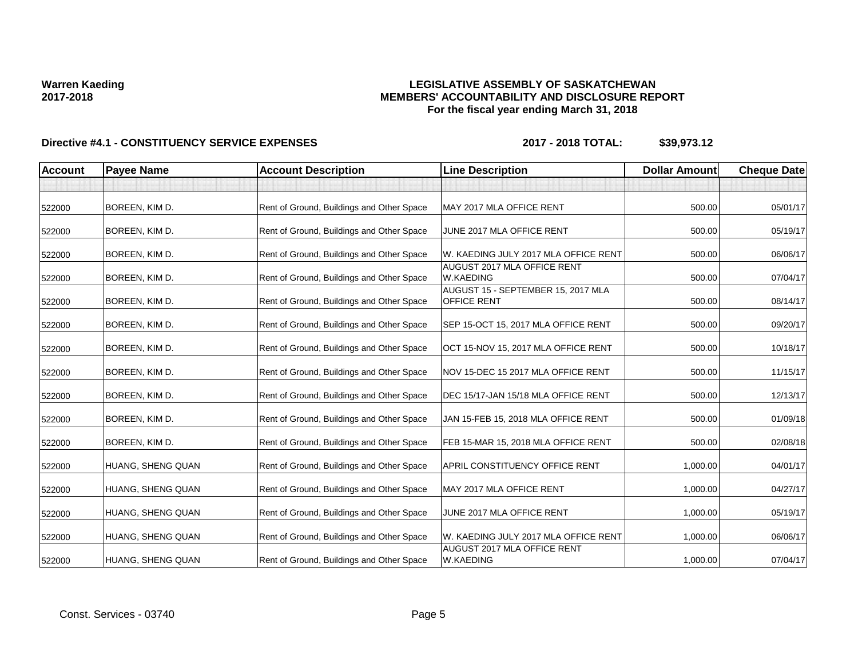### **LEGISLATIVE ASSEMBLY OF SASKATCHEWAN MEMBERS' ACCOUNTABILITY AND DISCLOSURE REPORT For the fiscal year ending March 31, 2018**

| <b>Account</b> | <b>Payee Name</b> | <b>Account Description</b>                | <b>Line Description</b>                                  | <b>Dollar Amount</b> | <b>Cheque Date</b> |
|----------------|-------------------|-------------------------------------------|----------------------------------------------------------|----------------------|--------------------|
|                |                   |                                           |                                                          |                      |                    |
| 522000         | BOREEN, KIM D.    | Rent of Ground, Buildings and Other Space | MAY 2017 MLA OFFICE RENT                                 | 500.00               | 05/01/17           |
| 522000         | BOREEN, KIM D.    | Rent of Ground, Buildings and Other Space | JUNE 2017 MLA OFFICE RENT                                | 500.00               | 05/19/17           |
| 522000         | BOREEN, KIM D.    | Rent of Ground, Buildings and Other Space | W. KAEDING JULY 2017 MLA OFFICE RENT                     | 500.00               | 06/06/17           |
| 522000         | BOREEN, KIM D.    | Rent of Ground, Buildings and Other Space | AUGUST 2017 MLA OFFICE RENT<br><b>W.KAEDING</b>          | 500.00               | 07/04/17           |
| 522000         | BOREEN, KIM D.    | Rent of Ground, Buildings and Other Space | AUGUST 15 - SEPTEMBER 15, 2017 MLA<br><b>OFFICE RENT</b> | 500.00               | 08/14/17           |
| 522000         | BOREEN, KIM D.    | Rent of Ground, Buildings and Other Space | SEP 15-OCT 15, 2017 MLA OFFICE RENT                      | 500.00               | 09/20/17           |
| 522000         | BOREEN, KIM D.    | Rent of Ground, Buildings and Other Space | OCT 15-NOV 15, 2017 MLA OFFICE RENT                      | 500.00               | 10/18/17           |
| 522000         | BOREEN, KIM D.    | Rent of Ground, Buildings and Other Space | NOV 15-DEC 15 2017 MLA OFFICE RENT                       | 500.00               | 11/15/17           |
| 522000         | BOREEN, KIM D.    | Rent of Ground, Buildings and Other Space | DEC 15/17-JAN 15/18 MLA OFFICE RENT                      | 500.00               | 12/13/17           |
| 522000         | BOREEN, KIM D.    | Rent of Ground, Buildings and Other Space | JAN 15-FEB 15, 2018 MLA OFFICE RENT                      | 500.00               | 01/09/18           |
| 522000         | BOREEN, KIM D.    | Rent of Ground, Buildings and Other Space | FEB 15-MAR 15, 2018 MLA OFFICE RENT                      | 500.00               | 02/08/18           |
| 522000         | HUANG, SHENG QUAN | Rent of Ground, Buildings and Other Space | APRIL CONSTITUENCY OFFICE RENT                           | 1,000.00             | 04/01/17           |
| 522000         | HUANG, SHENG QUAN | Rent of Ground, Buildings and Other Space | MAY 2017 MLA OFFICE RENT                                 | 1,000.00             | 04/27/17           |
| 522000         | HUANG, SHENG QUAN | Rent of Ground, Buildings and Other Space | JUNE 2017 MLA OFFICE RENT                                | 1,000.00             | 05/19/17           |
| 522000         | HUANG, SHENG QUAN | Rent of Ground, Buildings and Other Space | W. KAEDING JULY 2017 MLA OFFICE RENT                     | 1,000.00             | 06/06/17           |
| 522000         | HUANG, SHENG QUAN | Rent of Ground, Buildings and Other Space | AUGUST 2017 MLA OFFICE RENT<br><b>W.KAEDING</b>          | 1,000.00             | 07/04/17           |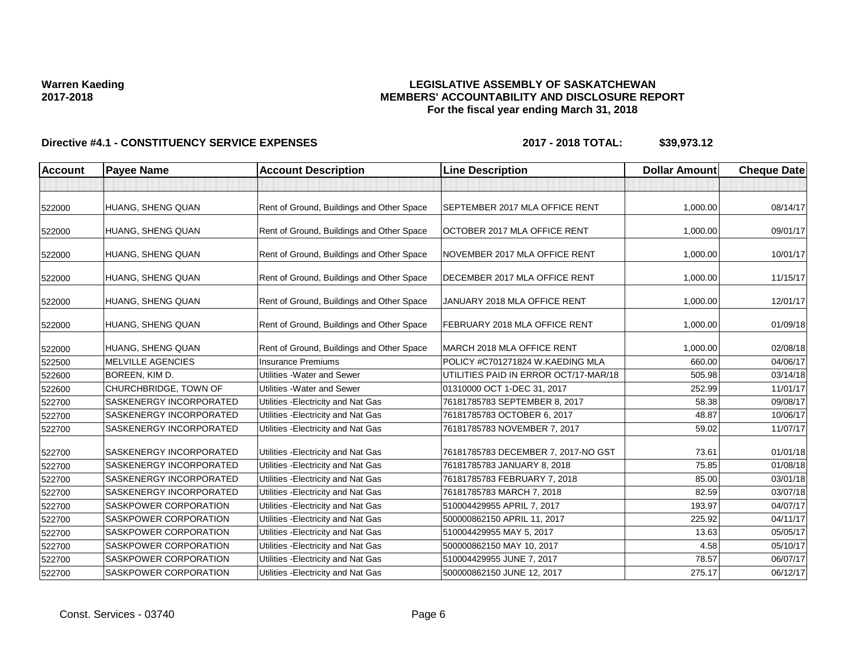### **LEGISLATIVE ASSEMBLY OF SASKATCHEWAN MEMBERS' ACCOUNTABILITY AND DISCLOSURE REPORT For the fiscal year ending March 31, 2018**

| <b>Account</b> | <b>Payee Name</b>              | <b>Account Description</b>                | <b>Line Description</b>               | <b>Dollar Amount</b> | <b>Cheque Date</b> |
|----------------|--------------------------------|-------------------------------------------|---------------------------------------|----------------------|--------------------|
|                |                                |                                           |                                       |                      |                    |
| 522000         | HUANG, SHENG QUAN              | Rent of Ground, Buildings and Other Space | SEPTEMBER 2017 MLA OFFICE RENT        | 1,000.00             | 08/14/17           |
| 522000         | HUANG, SHENG QUAN              | Rent of Ground, Buildings and Other Space | OCTOBER 2017 MLA OFFICE RENT          | 1,000.00             | 09/01/17           |
| 522000         | HUANG, SHENG QUAN              | Rent of Ground, Buildings and Other Space | NOVEMBER 2017 MLA OFFICE RENT         | 1,000.00             | 10/01/17           |
| 522000         | HUANG, SHENG QUAN              | Rent of Ground, Buildings and Other Space | DECEMBER 2017 MLA OFFICE RENT         | 1,000.00             | 11/15/17           |
| 522000         | HUANG, SHENG QUAN              | Rent of Ground, Buildings and Other Space | JANUARY 2018 MLA OFFICE RENT          | 1,000.00             | 12/01/17           |
| 522000         | HUANG, SHENG QUAN              | Rent of Ground, Buildings and Other Space | FEBRUARY 2018 MLA OFFICE RENT         | 1,000.00             | 01/09/18           |
| 522000         | HUANG, SHENG QUAN              | Rent of Ground, Buildings and Other Space | MARCH 2018 MLA OFFICE RENT            | 1,000.00             | 02/08/18           |
| 522500         | <b>MELVILLE AGENCIES</b>       | <b>Insurance Premiums</b>                 | POLICY #C701271824 W.KAEDING MLA      | 660.00               | 04/06/17           |
| 522600         | BOREEN, KIM D.                 | Utilities - Water and Sewer               | UTILITIES PAID IN ERROR OCT/17-MAR/18 | 505.98               | 03/14/18           |
| 522600         | CHURCHBRIDGE, TOWN OF          | Utilities - Water and Sewer               | 01310000 OCT 1-DEC 31, 2017           | 252.99               | 11/01/17           |
| 522700         | SASKENERGY INCORPORATED        | Utilities - Electricity and Nat Gas       | 76181785783 SEPTEMBER 8, 2017         | 58.38                | 09/08/17           |
| 522700         | SASKENERGY INCORPORATED        | Utilities - Electricity and Nat Gas       | 76181785783 OCTOBER 6, 2017           | 48.87                | 10/06/17           |
| 522700         | SASKENERGY INCORPORATED        | Utilities - Electricity and Nat Gas       | 76181785783 NOVEMBER 7, 2017          | 59.02                | 11/07/17           |
| 522700         | SASKENERGY INCORPORATED        | Utilities - Electricity and Nat Gas       | 76181785783 DECEMBER 7, 2017-NO GST   | 73.61                | 01/01/18           |
| 522700         | <b>SASKENERGY INCORPORATED</b> | Utilities - Electricity and Nat Gas       | 76181785783 JANUARY 8, 2018           | 75.85                | 01/08/18           |
| 522700         | SASKENERGY INCORPORATED        | Utilities - Electricity and Nat Gas       | 76181785783 FEBRUARY 7, 2018          | 85.00                | 03/01/18           |
| 522700         | SASKENERGY INCORPORATED        | Utilities - Electricity and Nat Gas       | 76181785783 MARCH 7, 2018             | 82.59                | 03/07/18           |
| 522700         | SASKPOWER CORPORATION          | Utilities - Electricity and Nat Gas       | 510004429955 APRIL 7, 2017            | 193.97               | 04/07/17           |
| 522700         | SASKPOWER CORPORATION          | Utilities - Electricity and Nat Gas       | 500000862150 APRIL 11, 2017           | 225.92               | 04/11/17           |
| 522700         | <b>SASKPOWER CORPORATION</b>   | Utilities - Electricity and Nat Gas       | 510004429955 MAY 5, 2017              | 13.63                | 05/05/17           |
| 522700         | SASKPOWER CORPORATION          | Utilities - Electricity and Nat Gas       | 500000862150 MAY 10, 2017             | 4.58                 | 05/10/17           |
| 522700         | SASKPOWER CORPORATION          | Utilities - Electricity and Nat Gas       | 510004429955 JUNE 7, 2017             | 78.57                | 06/07/17           |
| 522700         | SASKPOWER CORPORATION          | Utilities - Electricity and Nat Gas       | 500000862150 JUNE 12, 2017            | 275.17               | 06/12/17           |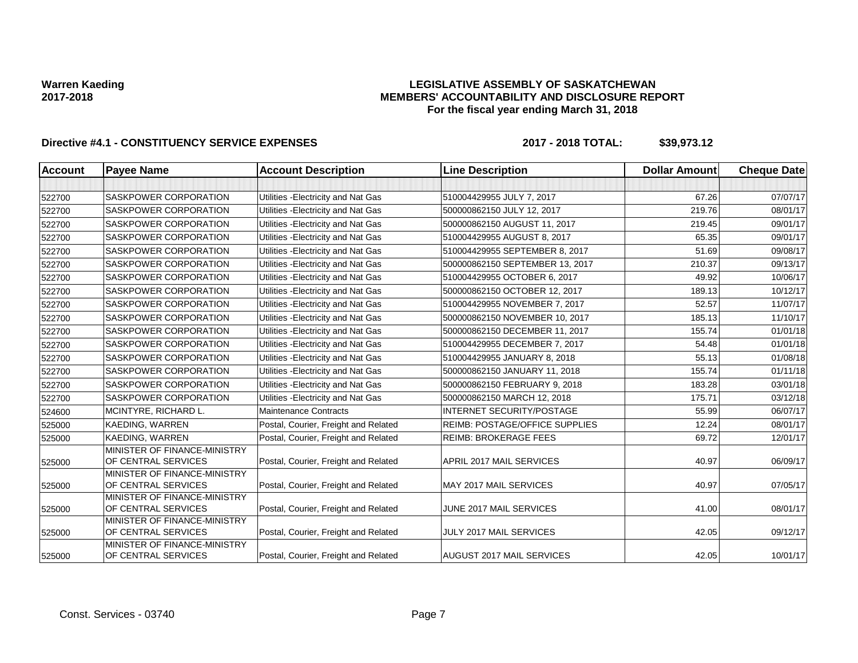### **LEGISLATIVE ASSEMBLY OF SASKATCHEWAN MEMBERS' ACCOUNTABILITY AND DISCLOSURE REPORT For the fiscal year ending March 31, 2018**

| <b>Account</b> | <b>Payee Name</b>                                   | <b>Account Description</b>           | <b>Line Description</b>               | <b>Dollar Amount</b> | <b>Cheque Date</b> |
|----------------|-----------------------------------------------------|--------------------------------------|---------------------------------------|----------------------|--------------------|
|                |                                                     |                                      |                                       |                      |                    |
| 522700         | SASKPOWER CORPORATION                               | Utilities - Electricity and Nat Gas  | 510004429955 JULY 7, 2017             | 67.26                | 07/07/17           |
| 522700         | SASKPOWER CORPORATION                               | Utilities - Electricity and Nat Gas  | 500000862150 JULY 12, 2017            | 219.76               | 08/01/17           |
| 522700         | SASKPOWER CORPORATION                               | Utilities - Electricity and Nat Gas  | 500000862150 AUGUST 11, 2017          | 219.45               | 09/01/17           |
| 522700         | SASKPOWER CORPORATION                               | Utilities - Electricity and Nat Gas  | 510004429955 AUGUST 8, 2017           | 65.35                | 09/01/17           |
| 522700         | SASKPOWER CORPORATION                               | Utilities - Electricity and Nat Gas  | 510004429955 SEPTEMBER 8, 2017        | 51.69                | 09/08/17           |
| 522700         | SASKPOWER CORPORATION                               | Utilities - Electricity and Nat Gas  | 500000862150 SEPTEMBER 13, 2017       | 210.37               | 09/13/17           |
| 522700         | SASKPOWER CORPORATION                               | Utilities - Electricity and Nat Gas  | 510004429955 OCTOBER 6, 2017          | 49.92                | 10/06/17           |
| 522700         | SASKPOWER CORPORATION                               | Utilities - Electricity and Nat Gas  | 500000862150 OCTOBER 12, 2017         | 189.13               | 10/12/17           |
| 522700         | SASKPOWER CORPORATION                               | Utilities - Electricity and Nat Gas  | 510004429955 NOVEMBER 7, 2017         | 52.57                | 11/07/17           |
| 522700         | SASKPOWER CORPORATION                               | Utilities - Electricity and Nat Gas  | 500000862150 NOVEMBER 10, 2017        | 185.13               | 11/10/17           |
| 522700         | SASKPOWER CORPORATION                               | Utilities - Electricity and Nat Gas  | 500000862150 DECEMBER 11, 2017        | 155.74               | 01/01/18           |
| 522700         | SASKPOWER CORPORATION                               | Utilities - Electricity and Nat Gas  | 510004429955 DECEMBER 7, 2017         | 54.48                | 01/01/18           |
| 522700         | SASKPOWER CORPORATION                               | Utilities - Electricity and Nat Gas  | 510004429955 JANUARY 8, 2018          | 55.13                | 01/08/18           |
| 522700         | SASKPOWER CORPORATION                               | Utilities - Electricity and Nat Gas  | 500000862150 JANUARY 11, 2018         | 155.74               | 01/11/18           |
| 522700         | SASKPOWER CORPORATION                               | Utilities - Electricity and Nat Gas  | 500000862150 FEBRUARY 9, 2018         | 183.28               | 03/01/18           |
| 522700         | SASKPOWER CORPORATION                               | Utilities - Electricity and Nat Gas  | 500000862150 MARCH 12, 2018           | 175.71               | 03/12/18           |
| 524600         | MCINTYRE, RICHARD L.                                | <b>Maintenance Contracts</b>         | <b>INTERNET SECURITY/POSTAGE</b>      | 55.99                | 06/07/17           |
| 525000         | KAEDING, WARREN                                     | Postal, Courier, Freight and Related | <b>REIMB: POSTAGE/OFFICE SUPPLIES</b> | 12.24                | 08/01/17           |
| 525000         | KAEDING, WARREN                                     | Postal, Courier, Freight and Related | <b>REIMB: BROKERAGE FEES</b>          | 69.72                | 12/01/17           |
| 525000         | MINISTER OF FINANCE-MINISTRY<br>OF CENTRAL SERVICES | Postal, Courier, Freight and Related | APRIL 2017 MAIL SERVICES              | 40.97                | 06/09/17           |
| 525000         | MINISTER OF FINANCE-MINISTRY<br>OF CENTRAL SERVICES | Postal, Courier, Freight and Related | MAY 2017 MAIL SERVICES                | 40.97                | 07/05/17           |
| 525000         | MINISTER OF FINANCE-MINISTRY<br>OF CENTRAL SERVICES | Postal, Courier, Freight and Related | JUNE 2017 MAIL SERVICES               | 41.00                | 08/01/17           |
| 525000         | MINISTER OF FINANCE-MINISTRY<br>OF CENTRAL SERVICES | Postal, Courier, Freight and Related | JULY 2017 MAIL SERVICES               | 42.05                | 09/12/17           |
| 525000         | MINISTER OF FINANCE-MINISTRY<br>OF CENTRAL SERVICES | Postal, Courier, Freight and Related | AUGUST 2017 MAIL SERVICES             | 42.05                | 10/01/17           |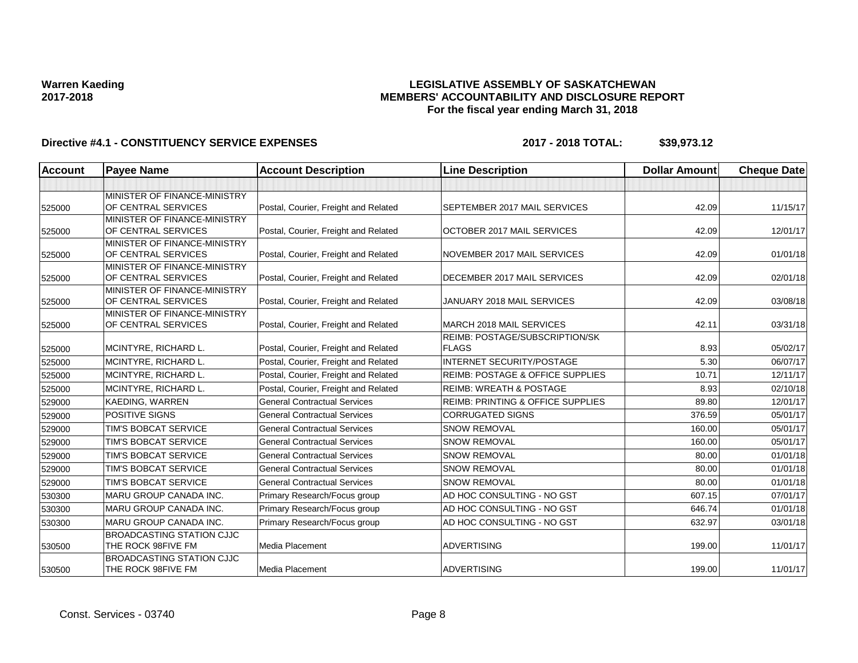### **LEGISLATIVE ASSEMBLY OF SASKATCHEWAN MEMBERS' ACCOUNTABILITY AND DISCLOSURE REPORT For the fiscal year ending March 31, 2018**

| <b>Account</b> | <b>Payee Name</b>                                   | <b>Account Description</b>           | <b>Line Description</b>                      | <b>Dollar Amount</b> | <b>Cheque Date</b> |
|----------------|-----------------------------------------------------|--------------------------------------|----------------------------------------------|----------------------|--------------------|
|                |                                                     |                                      |                                              |                      |                    |
|                | MINISTER OF FINANCE-MINISTRY                        |                                      |                                              |                      |                    |
| 525000         | OF CENTRAL SERVICES                                 | Postal, Courier, Freight and Related | SEPTEMBER 2017 MAIL SERVICES                 | 42.09                | 11/15/17           |
|                | MINISTER OF FINANCE-MINISTRY                        |                                      |                                              |                      |                    |
| 525000         | OF CENTRAL SERVICES                                 | Postal, Courier, Freight and Related | OCTOBER 2017 MAIL SERVICES                   | 42.09                | 12/01/17           |
|                | MINISTER OF FINANCE-MINISTRY                        |                                      |                                              |                      |                    |
| 525000         | OF CENTRAL SERVICES                                 | Postal, Courier, Freight and Related | NOVEMBER 2017 MAIL SERVICES                  | 42.09                | 01/01/18           |
|                | MINISTER OF FINANCE-MINISTRY<br>OF CENTRAL SERVICES | Postal, Courier, Freight and Related | DECEMBER 2017 MAIL SERVICES                  | 42.09                | 02/01/18           |
| 525000         | MINISTER OF FINANCE-MINISTRY                        |                                      |                                              |                      |                    |
| 525000         | OF CENTRAL SERVICES                                 | Postal, Courier, Freight and Related | JANUARY 2018 MAIL SERVICES                   | 42.09                | 03/08/18           |
|                | MINISTER OF FINANCE-MINISTRY                        |                                      |                                              |                      |                    |
| 525000         | OF CENTRAL SERVICES                                 | Postal, Courier, Freight and Related | MARCH 2018 MAIL SERVICES                     | 42.11                | 03/31/18           |
|                |                                                     |                                      | REIMB: POSTAGE/SUBSCRIPTION/SK               |                      |                    |
| 525000         | MCINTYRE, RICHARD L.                                | Postal, Courier, Freight and Related | <b>FLAGS</b>                                 | 8.93                 | 05/02/17           |
| 525000         | MCINTYRE, RICHARD L.                                | Postal, Courier, Freight and Related | <b>INTERNET SECURITY/POSTAGE</b>             | 5.30                 | 06/07/17           |
| 525000         | MCINTYRE, RICHARD L.                                | Postal, Courier, Freight and Related | <b>REIMB: POSTAGE &amp; OFFICE SUPPLIES</b>  | 10.71                | 12/11/17           |
| 525000         | MCINTYRE, RICHARD L.                                | Postal, Courier, Freight and Related | <b>REIMB: WREATH &amp; POSTAGE</b>           | 8.93                 | 02/10/18           |
| 529000         | KAEDING, WARREN                                     | <b>General Contractual Services</b>  | <b>REIMB: PRINTING &amp; OFFICE SUPPLIES</b> | 89.80                | 12/01/17           |
| 529000         | <b>POSITIVE SIGNS</b>                               | <b>General Contractual Services</b>  | <b>CORRUGATED SIGNS</b>                      | 376.59               | 05/01/17           |
| 529000         | TIM'S BOBCAT SERVICE                                | <b>General Contractual Services</b>  | <b>SNOW REMOVAL</b>                          | 160.00               | 05/01/17           |
| 529000         | TIM'S BOBCAT SERVICE                                | <b>General Contractual Services</b>  | <b>SNOW REMOVAL</b>                          | 160.00               | 05/01/17           |
| 529000         | TIM'S BOBCAT SERVICE                                | <b>General Contractual Services</b>  | <b>SNOW REMOVAL</b>                          | 80.00                | 01/01/18           |
| 529000         | TIM'S BOBCAT SERVICE                                | <b>General Contractual Services</b>  | <b>SNOW REMOVAL</b>                          | 80.00                | 01/01/18           |
| 529000         | TIM'S BOBCAT SERVICE                                | <b>General Contractual Services</b>  | <b>SNOW REMOVAL</b>                          | 80.00                | 01/01/18           |
| 530300         | <b>MARU GROUP CANADA INC.</b>                       | Primary Research/Focus group         | AD HOC CONSULTING - NO GST                   | 607.15               | 07/01/17           |
| 530300         | <b>MARU GROUP CANADA INC.</b>                       | Primary Research/Focus group         | AD HOC CONSULTING - NO GST                   | 646.74               | 01/01/18           |
| 530300         | MARU GROUP CANADA INC.                              | Primary Research/Focus group         | AD HOC CONSULTING - NO GST                   | 632.97               | 03/01/18           |
|                | <b>BROADCASTING STATION CJJC</b>                    |                                      |                                              |                      |                    |
| 530500         | THE ROCK 98FIVE FM                                  | <b>Media Placement</b>               | <b>ADVERTISING</b>                           | 199.00               | 11/01/17           |
|                | <b>BROADCASTING STATION CJJC</b>                    |                                      |                                              |                      |                    |
| 530500         | THE ROCK 98FIVE FM                                  | <b>Media Placement</b>               | <b>ADVERTISING</b>                           | 199.00               | 11/01/17           |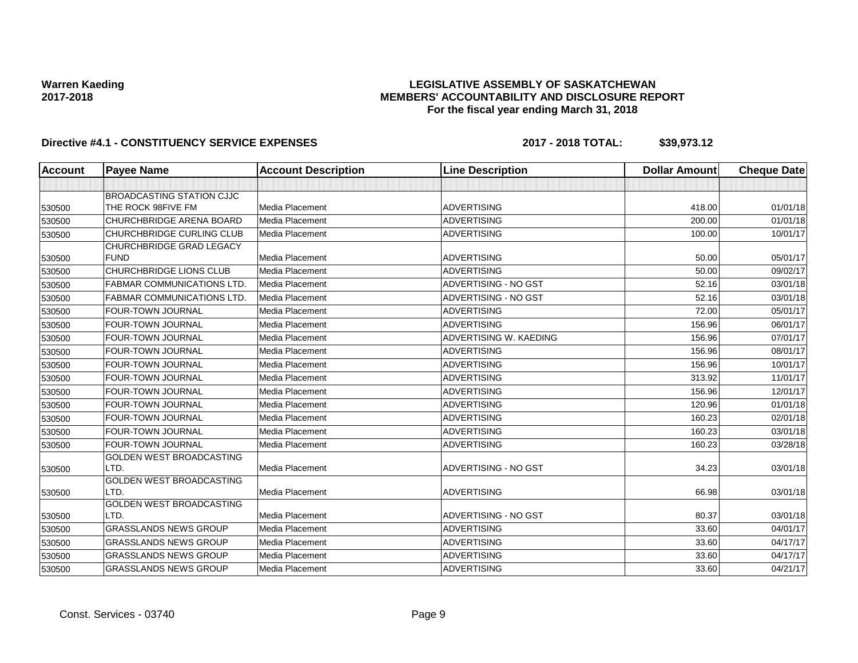### **LEGISLATIVE ASSEMBLY OF SASKATCHEWAN MEMBERS' ACCOUNTABILITY AND DISCLOSURE REPORT For the fiscal year ending March 31, 2018**

| <b>Account</b> | <b>Payee Name</b>                 | <b>Account Description</b> | <b>Line Description</b> | <b>Dollar Amount</b> | <b>Cheque Date</b> |
|----------------|-----------------------------------|----------------------------|-------------------------|----------------------|--------------------|
|                |                                   |                            |                         |                      |                    |
|                | BROADCASTING STATION CJJC         |                            |                         |                      |                    |
| 530500         | THE ROCK 98FIVE FM                | Media Placement            | <b>ADVERTISING</b>      | 418.00               | 01/01/18           |
| 530500         | CHURCHBRIDGE ARENA BOARD          | <b>Media Placement</b>     | <b>ADVERTISING</b>      | 200.00               | 01/01/18           |
| 530500         | CHURCHBRIDGE CURLING CLUB         | Media Placement            | <b>ADVERTISING</b>      | 100.00               | 10/01/17           |
|                | CHURCHBRIDGE GRAD LEGACY          |                            |                         |                      |                    |
| 530500         | <b>FUND</b>                       | Media Placement            | <b>ADVERTISING</b>      | 50.00                | 05/01/17           |
| 530500         | CHURCHBRIDGE LIONS CLUB           | Media Placement            | <b>ADVERTISING</b>      | 50.00                | 09/02/17           |
| 530500         | <b>FABMAR COMMUNICATIONS LTD.</b> | Media Placement            | ADVERTISING - NO GST    | 52.16                | 03/01/18           |
| 530500         | <b>FABMAR COMMUNICATIONS LTD.</b> | Media Placement            | ADVERTISING - NO GST    | 52.16                | 03/01/18           |
| 530500         | FOUR-TOWN JOURNAL                 | Media Placement            | <b>ADVERTISING</b>      | 72.00                | 05/01/17           |
| 530500         | <b>FOUR-TOWN JOURNAL</b>          | Media Placement            | <b>ADVERTISING</b>      | 156.96               | 06/01/17           |
| 530500         | FOUR-TOWN JOURNAL                 | Media Placement            | ADVERTISING W. KAEDING  | 156.96               | 07/01/17           |
| 530500         | FOUR-TOWN JOURNAL                 | Media Placement            | <b>ADVERTISING</b>      | 156.96               | 08/01/17           |
| 530500         | FOUR-TOWN JOURNAL                 | Media Placement            | <b>ADVERTISING</b>      | 156.96               | 10/01/17           |
| 530500         | FOUR-TOWN JOURNAL                 | Media Placement            | <b>ADVERTISING</b>      | 313.92               | 11/01/17           |
| 530500         | <b>FOUR-TOWN JOURNAL</b>          | Media Placement            | <b>ADVERTISING</b>      | 156.96               | 12/01/17           |
| 530500         | FOUR-TOWN JOURNAL                 | Media Placement            | <b>ADVERTISING</b>      | 120.96               | 01/01/18           |
| 530500         | FOUR-TOWN JOURNAL                 | <b>Media Placement</b>     | <b>ADVERTISING</b>      | 160.23               | 02/01/18           |
| 530500         | FOUR-TOWN JOURNAL                 | <b>Media Placement</b>     | <b>ADVERTISING</b>      | 160.23               | 03/01/18           |
| 530500         | FOUR-TOWN JOURNAL                 | Media Placement            | <b>ADVERTISING</b>      | 160.23               | 03/28/18           |
|                | <b>GOLDEN WEST BROADCASTING</b>   |                            |                         |                      |                    |
| 530500         | LTD.                              | Media Placement            | ADVERTISING - NO GST    | 34.23                | 03/01/18           |
|                | <b>GOLDEN WEST BROADCASTING</b>   |                            |                         |                      |                    |
| 530500         | LTD.                              | <b>Media Placement</b>     | <b>ADVERTISING</b>      | 66.98                | 03/01/18           |
|                | <b>GOLDEN WEST BROADCASTING</b>   |                            |                         |                      |                    |
| 530500         | LTD.                              | <b>Media Placement</b>     | ADVERTISING - NO GST    | 80.37                | 03/01/18           |
| 530500         | <b>GRASSLANDS NEWS GROUP</b>      | Media Placement            | <b>ADVERTISING</b>      | 33.60                | 04/01/17           |
| 530500         | <b>GRASSLANDS NEWS GROUP</b>      | Media Placement            | <b>ADVERTISING</b>      | 33.60                | 04/17/17           |
| 530500         | <b>GRASSLANDS NEWS GROUP</b>      | Media Placement            | <b>ADVERTISING</b>      | 33.60                | 04/17/17           |
| 530500         | <b>GRASSLANDS NEWS GROUP</b>      | Media Placement            | <b>ADVERTISING</b>      | 33.60                | 04/21/17           |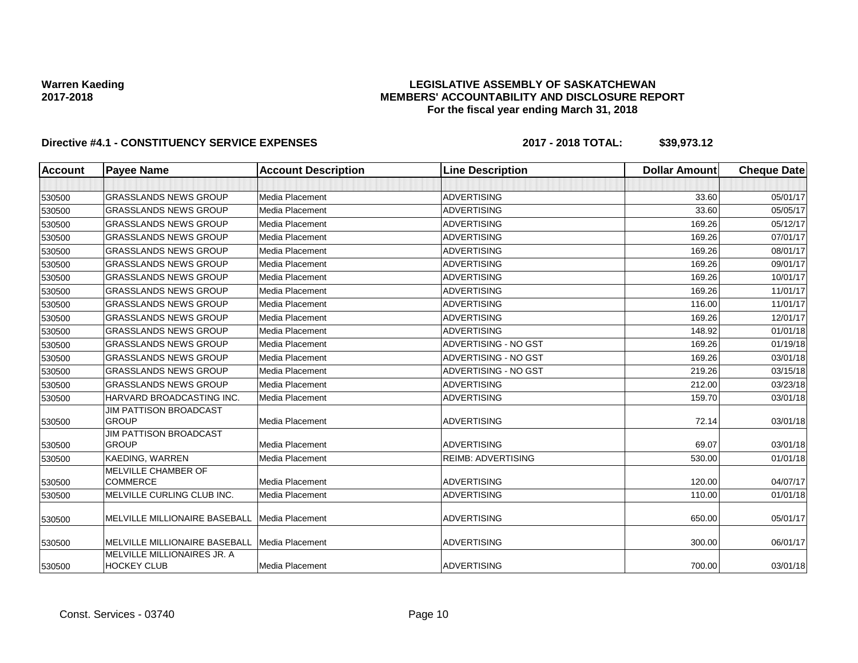### **LEGISLATIVE ASSEMBLY OF SASKATCHEWAN MEMBERS' ACCOUNTABILITY AND DISCLOSURE REPORT For the fiscal year ending March 31, 2018**

| Account | <b>Payee Name</b>                                 | <b>Account Description</b> | <b>Line Description</b>   | <b>Dollar Amount</b> | <b>Cheque Date</b> |
|---------|---------------------------------------------------|----------------------------|---------------------------|----------------------|--------------------|
|         |                                                   |                            |                           |                      |                    |
| 530500  | <b>GRASSLANDS NEWS GROUP</b>                      | Media Placement            | <b>ADVERTISING</b>        | 33.60                | 05/01/17           |
| 530500  | <b>GRASSLANDS NEWS GROUP</b>                      | Media Placement            | <b>ADVERTISING</b>        | 33.60                | 05/05/17           |
| 530500  | <b>GRASSLANDS NEWS GROUP</b>                      | Media Placement            | <b>ADVERTISING</b>        | 169.26               | 05/12/17           |
| 530500  | <b>GRASSLANDS NEWS GROUP</b>                      | Media Placement            | <b>ADVERTISING</b>        | 169.26               | 07/01/17           |
| 530500  | <b>GRASSLANDS NEWS GROUP</b>                      | Media Placement            | <b>ADVERTISING</b>        | 169.26               | 08/01/17           |
| 530500  | <b>GRASSLANDS NEWS GROUP</b>                      | Media Placement            | <b>ADVERTISING</b>        | 169.26               | 09/01/17           |
| 530500  | <b>GRASSLANDS NEWS GROUP</b>                      | Media Placement            | <b>ADVERTISING</b>        | 169.26               | 10/01/17           |
| 530500  | <b>GRASSLANDS NEWS GROUP</b>                      | Media Placement            | <b>ADVERTISING</b>        | 169.26               | 11/01/17           |
| 530500  | <b>GRASSLANDS NEWS GROUP</b>                      | Media Placement            | <b>ADVERTISING</b>        | 116.00               | 11/01/17           |
| 530500  | <b>GRASSLANDS NEWS GROUP</b>                      | Media Placement            | <b>ADVERTISING</b>        | 169.26               | 12/01/17           |
| 530500  | <b>GRASSLANDS NEWS GROUP</b>                      | Media Placement            | <b>ADVERTISING</b>        | 148.92               | 01/01/18           |
| 530500  | <b>GRASSLANDS NEWS GROUP</b>                      | Media Placement            | ADVERTISING - NO GST      | 169.26               | 01/19/18           |
| 530500  | <b>GRASSLANDS NEWS GROUP</b>                      | Media Placement            | ADVERTISING - NO GST      | 169.26               | 03/01/18           |
| 530500  | <b>GRASSLANDS NEWS GROUP</b>                      | Media Placement            | ADVERTISING - NO GST      | 219.26               | 03/15/18           |
| 530500  | <b>GRASSLANDS NEWS GROUP</b>                      | Media Placement            | <b>ADVERTISING</b>        | 212.00               | 03/23/18           |
| 530500  | HARVARD BROADCASTING INC.                         | Media Placement            | <b>ADVERTISING</b>        | 159.70               | 03/01/18           |
| 530500  | <b>JIM PATTISON BROADCAST</b><br><b>GROUP</b>     | Media Placement            | <b>ADVERTISING</b>        | 72.14                | 03/01/18           |
|         | <b>JIM PATTISON BROADCAST</b>                     |                            |                           |                      |                    |
| 530500  | <b>GROUP</b>                                      | Media Placement            | <b>ADVERTISING</b>        | 69.07                | 03/01/18           |
| 530500  | <b>KAEDING, WARREN</b>                            | Media Placement            | <b>REIMB: ADVERTISING</b> | 530.00               | 01/01/18           |
| 530500  | MELVILLE CHAMBER OF<br><b>COMMERCE</b>            | Media Placement            | <b>ADVERTISING</b>        | 120.00               | 04/07/17           |
| 530500  | MELVILLE CURLING CLUB INC.                        | Media Placement            | <b>ADVERTISING</b>        | 110.00               | 01/01/18           |
| 530500  | MELVILLE MILLIONAIRE BASEBALL                     | <b>Media Placement</b>     | <b>ADVERTISING</b>        | 650.00               | 05/01/17           |
| 530500  | MELVILLE MILLIONAIRE BASEBALL                     | Media Placement            | <b>ADVERTISING</b>        | 300.00               | 06/01/17           |
| 530500  | MELVILLE MILLIONAIRES JR. A<br><b>HOCKEY CLUB</b> | Media Placement            | <b>ADVERTISING</b>        | 700.00               | 03/01/18           |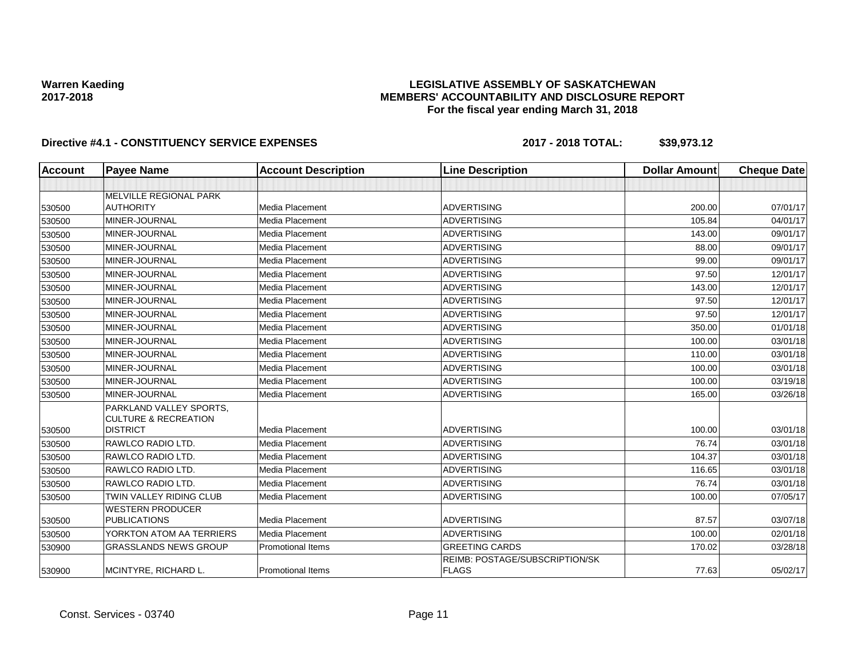### **LEGISLATIVE ASSEMBLY OF SASKATCHEWAN MEMBERS' ACCOUNTABILITY AND DISCLOSURE REPORT For the fiscal year ending March 31, 2018**

| <b>Account</b> | <b>Payee Name</b>               | <b>Account Description</b> | <b>Line Description</b>                        | <b>Dollar Amount</b> | <b>Cheque Date</b> |
|----------------|---------------------------------|----------------------------|------------------------------------------------|----------------------|--------------------|
|                |                                 |                            |                                                |                      |                    |
|                | MELVILLE REGIONAL PARK          |                            |                                                |                      |                    |
| 530500         | <b>AUTHORITY</b>                | Media Placement            | <b>ADVERTISING</b>                             | 200.00               | 07/01/17           |
| 530500         | MINER-JOURNAL                   | Media Placement            | <b>ADVERTISING</b>                             | 105.84               | 04/01/17           |
| 530500         | MINER-JOURNAL                   | Media Placement            | <b>ADVERTISING</b>                             | 143.00               | 09/01/17           |
| 530500         | MINER-JOURNAL                   | Media Placement            | <b>ADVERTISING</b>                             | 88.00                | 09/01/17           |
| 530500         | MINER-JOURNAL                   | Media Placement            | <b>ADVERTISING</b>                             | 99.00                | 09/01/17           |
| 530500         | MINER-JOURNAL                   | Media Placement            | <b>ADVERTISING</b>                             | 97.50                | 12/01/17           |
| 530500         | MINER-JOURNAL                   | <b>Media Placement</b>     | <b>ADVERTISING</b>                             | 143.00               | 12/01/17           |
| 530500         | MINER-JOURNAL                   | Media Placement            | <b>ADVERTISING</b>                             | 97.50                | 12/01/17           |
| 530500         | MINER-JOURNAL                   | Media Placement            | <b>ADVERTISING</b>                             | 97.50                | 12/01/17           |
| 530500         | MINER-JOURNAL                   | Media Placement            | <b>ADVERTISING</b>                             | 350.00               | 01/01/18           |
| 530500         | MINER-JOURNAL                   | Media Placement            | <b>ADVERTISING</b>                             | 100.00               | 03/01/18           |
| 530500         | MINER-JOURNAL                   | Media Placement            | <b>ADVERTISING</b>                             | 110.00               | 03/01/18           |
| 530500         | MINER-JOURNAL                   | Media Placement            | <b>ADVERTISING</b>                             | 100.00               | 03/01/18           |
| 530500         | MINER-JOURNAL                   | Media Placement            | <b>ADVERTISING</b>                             | 100.00               | 03/19/18           |
| 530500         | MINER-JOURNAL                   | Media Placement            | <b>ADVERTISING</b>                             | 165.00               | 03/26/18           |
|                | PARKLAND VALLEY SPORTS,         |                            |                                                |                      |                    |
|                | <b>CULTURE &amp; RECREATION</b> |                            |                                                |                      |                    |
| 530500         | <b>DISTRICT</b>                 | Media Placement            | <b>ADVERTISING</b>                             | 100.00               | 03/01/18           |
| 530500         | RAWLCO RADIO LTD.               | Media Placement            | <b>ADVERTISING</b>                             | 76.74                | 03/01/18           |
| 530500         | RAWLCO RADIO LTD.               | Media Placement            | <b>ADVERTISING</b>                             | 104.37               | 03/01/18           |
| 530500         | RAWLCO RADIO LTD.               | <b>Media Placement</b>     | <b>ADVERTISING</b>                             | 116.65               | 03/01/18           |
| 530500         | RAWLCO RADIO LTD.               | Media Placement            | <b>ADVERTISING</b>                             | 76.74                | 03/01/18           |
| 530500         | TWIN VALLEY RIDING CLUB         | Media Placement            | <b>ADVERTISING</b>                             | 100.00               | 07/05/17           |
|                | <b>WESTERN PRODUCER</b>         |                            |                                                |                      |                    |
| 530500         | <b>PUBLICATIONS</b>             | Media Placement            | <b>ADVERTISING</b>                             | 87.57                | 03/07/18           |
| 530500         | YORKTON ATOM AA TERRIERS        | Media Placement            | <b>ADVERTISING</b>                             | 100.00               | 02/01/18           |
| 530900         | <b>GRASSLANDS NEWS GROUP</b>    | <b>Promotional Items</b>   | <b>GREETING CARDS</b>                          | 170.02               | 03/28/18           |
| 530900         | MCINTYRE, RICHARD L.            | <b>Promotional Items</b>   | REIMB: POSTAGE/SUBSCRIPTION/SK<br><b>FLAGS</b> | 77.63                | 05/02/17           |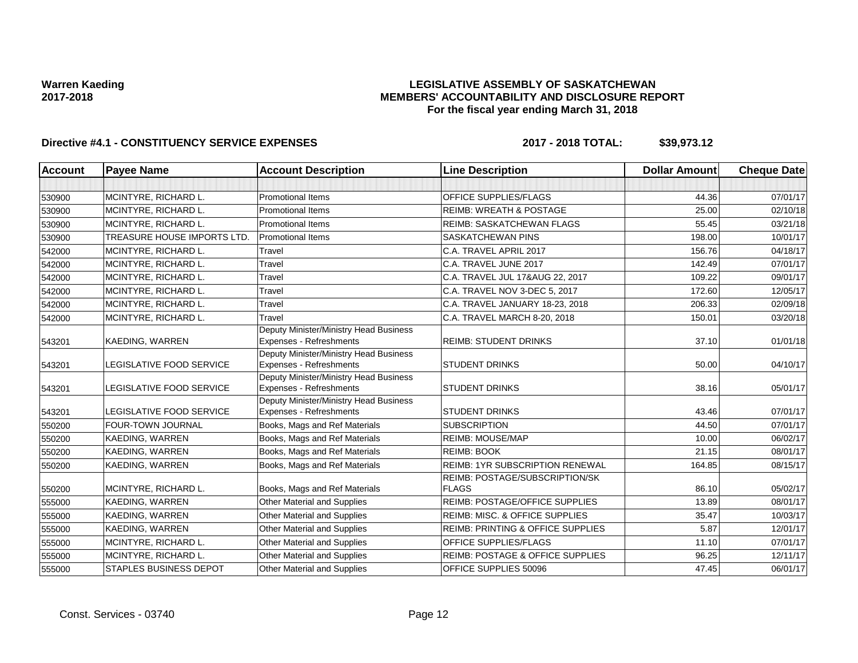### **LEGISLATIVE ASSEMBLY OF SASKATCHEWAN MEMBERS' ACCOUNTABILITY AND DISCLOSURE REPORT For the fiscal year ending March 31, 2018**

| <b>Account</b> | <b>Payee Name</b>                  | <b>Account Description</b>                                               | <b>Line Description</b>                        | <b>Dollar Amount</b> | <b>Cheque Date</b> |
|----------------|------------------------------------|--------------------------------------------------------------------------|------------------------------------------------|----------------------|--------------------|
|                |                                    |                                                                          |                                                |                      |                    |
| 530900         | MCINTYRE, RICHARD L.               | <b>Promotional Items</b>                                                 | <b>OFFICE SUPPLIES/FLAGS</b>                   | 44.36                | 07/01/17           |
| 530900         | MCINTYRE, RICHARD L.               | <b>Promotional Items</b>                                                 | <b>REIMB: WREATH &amp; POSTAGE</b>             | 25.00                | 02/10/18           |
| 530900         | MCINTYRE, RICHARD L.               | <b>Promotional Items</b>                                                 | REIMB: SASKATCHEWAN FLAGS                      | 55.45                | 03/21/18           |
| 530900         | <b>TREASURE HOUSE IMPORTS LTD.</b> | <b>Promotional Items</b>                                                 | <b>SASKATCHEWAN PINS</b>                       | 198.00               | 10/01/17           |
| 542000         | MCINTYRE, RICHARD L.               | Travel                                                                   | C.A. TRAVEL APRIL 2017                         | 156.76               | 04/18/17           |
| 542000         | MCINTYRE, RICHARD L.               | Travel                                                                   | C.A. TRAVEL JUNE 2017                          | 142.49               | 07/01/17           |
| 542000         | MCINTYRE, RICHARD L.               | Travel                                                                   | C.A. TRAVEL JUL 17&AUG 22, 2017                | 109.22               | 09/01/17           |
| 542000         | MCINTYRE, RICHARD L.               | Travel                                                                   | C.A. TRAVEL NOV 3-DEC 5, 2017                  | 172.60               | 12/05/17           |
| 542000         | MCINTYRE, RICHARD L.               | Travel                                                                   | C.A. TRAVEL JANUARY 18-23, 2018                | 206.33               | 02/09/18           |
| 542000         | MCINTYRE, RICHARD L.               | Travel                                                                   | C.A. TRAVEL MARCH 8-20, 2018                   | 150.01               | 03/20/18           |
| 543201         | KAEDING, WARREN                    | Deputy Minister/Ministry Head Business<br>Expenses - Refreshments        | <b>REIMB: STUDENT DRINKS</b>                   | 37.10                | 01/01/18           |
| 543201         | LEGISLATIVE FOOD SERVICE           | Deputy Minister/Ministry Head Business<br>Expenses - Refreshments        | <b>STUDENT DRINKS</b>                          | 50.00                | 04/10/17           |
| 543201         | LEGISLATIVE FOOD SERVICE           | Deputy Minister/Ministry Head Business<br><b>Expenses - Refreshments</b> | <b>STUDENT DRINKS</b>                          | 38.16                | 05/01/17           |
| 543201         | LEGISLATIVE FOOD SERVICE           | Deputy Minister/Ministry Head Business<br><b>Expenses - Refreshments</b> | <b>STUDENT DRINKS</b>                          | 43.46                | 07/01/17           |
| 550200         | FOUR-TOWN JOURNAL                  | Books, Mags and Ref Materials                                            | <b>SUBSCRIPTION</b>                            | 44.50                | 07/01/17           |
| 550200         | KAEDING, WARREN                    | Books, Mags and Ref Materials                                            | <b>REIMB: MOUSE/MAP</b>                        | 10.00                | 06/02/17           |
| 550200         | KAEDING, WARREN                    | Books, Mags and Ref Materials                                            | <b>REIMB: BOOK</b>                             | 21.15                | 08/01/17           |
| 550200         | KAEDING, WARREN                    | Books, Mags and Ref Materials                                            | <b>REIMB: 1YR SUBSCRIPTION RENEWAL</b>         | 164.85               | 08/15/17           |
| 550200         | MCINTYRE, RICHARD L.               | Books, Mags and Ref Materials                                            | REIMB: POSTAGE/SUBSCRIPTION/SK<br><b>FLAGS</b> | 86.10                | 05/02/17           |
| 555000         | KAEDING, WARREN                    | Other Material and Supplies                                              | REIMB: POSTAGE/OFFICE SUPPLIES                 | 13.89                | 08/01/17           |
| 555000         | KAEDING, WARREN                    | <b>Other Material and Supplies</b>                                       | <b>REIMB: MISC. &amp; OFFICE SUPPLIES</b>      | 35.47                | 10/03/17           |
| 555000         | KAEDING, WARREN                    | Other Material and Supplies                                              | <b>REIMB: PRINTING &amp; OFFICE SUPPLIES</b>   | 5.87                 | 12/01/17           |
| 555000         | MCINTYRE, RICHARD L.               | Other Material and Supplies                                              | OFFICE SUPPLIES/FLAGS                          | 11.10                | 07/01/17           |
| 555000         | MCINTYRE, RICHARD L.               | <b>Other Material and Supplies</b>                                       | <b>REIMB: POSTAGE &amp; OFFICE SUPPLIES</b>    | 96.25                | 12/11/17           |
| 555000         | <b>STAPLES BUSINESS DEPOT</b>      | Other Material and Supplies                                              | OFFICE SUPPLIES 50096                          | 47.45                | 06/01/17           |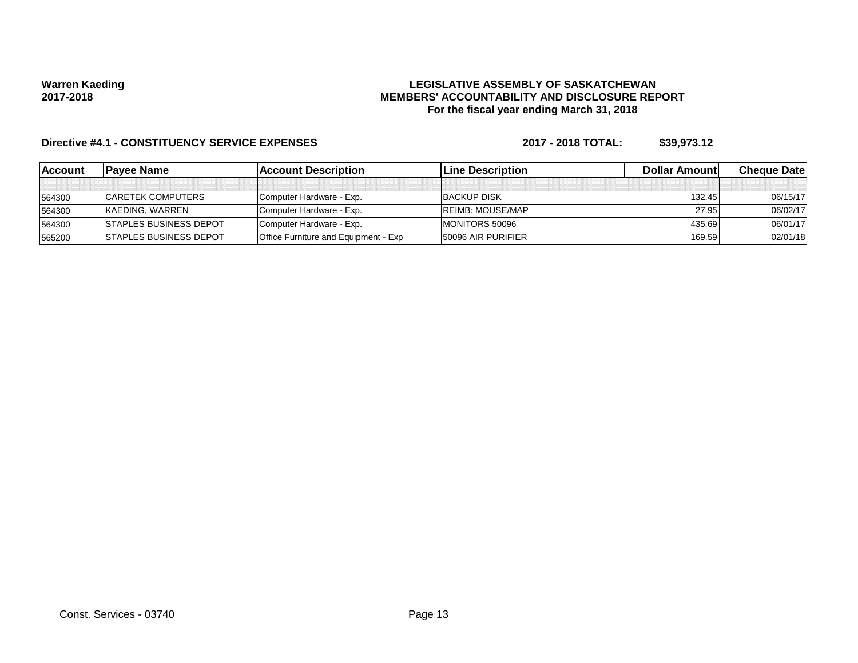### **LEGISLATIVE ASSEMBLY OF SASKATCHEWAN MEMBERS' ACCOUNTABILITY AND DISCLOSURE REPORT For the fiscal year ending March 31, 2018**

| <b>IAccount</b> | <b>IPavee Name</b>             | <b>Account Description</b>                  | <b>Line Description</b>   | <b>Dollar Amountl</b> | <b>Cheque Datel</b> |
|-----------------|--------------------------------|---------------------------------------------|---------------------------|-----------------------|---------------------|
|                 |                                |                                             |                           |                       |                     |
| 564300          | <b>ICARETEK COMPUTERS</b>      | Computer Hardware - Exp.                    | <b>BACKUP DISK</b>        | 132.45                | 06/15/17            |
| 564300          | KAEDING, WARREN                | Computer Hardware - Exp.                    | <b>REIMB: MOUSE/MAP</b>   | 27.95                 | 06/02/17            |
| 564300          | <b>ISTAPLES BUSINESS DEPOT</b> | Computer Hardware - Exp.                    | MONITORS 50096            | 435.69                | 06/01/17            |
| 565200          | <b>ISTAPLES BUSINESS DEPOT</b> | <b>Office Furniture and Equipment - Exp</b> | <b>50096 AIR PURIFIER</b> | 169.59                | 02/01/18            |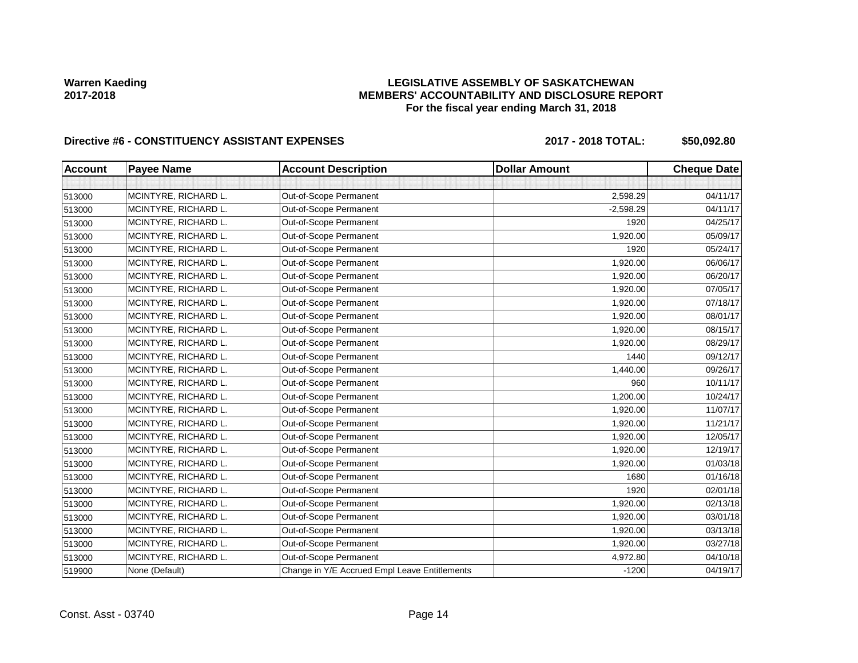### **LEGISLATIVE ASSEMBLY OF SASKATCHEWAN MEMBERS' ACCOUNTABILITY AND DISCLOSURE REPORT For the fiscal year ending March 31, 2018**

## Directive #6 - CONSTITUENCY ASSISTANT EXPENSES 2017 - 2018 TOTAL: \$50,092.80

| <b>Account</b> | <b>Payee Name</b>    | <b>Account Description</b>                    | <b>Dollar Amount</b> | <b>Cheque Date</b> |
|----------------|----------------------|-----------------------------------------------|----------------------|--------------------|
|                |                      |                                               |                      |                    |
| 513000         | MCINTYRE, RICHARD L. | Out-of-Scope Permanent                        | 2,598.29             | 04/11/17           |
| 513000         | MCINTYRE, RICHARD L. | Out-of-Scope Permanent                        | $-2,598.29$          | 04/11/17           |
| 513000         | MCINTYRE, RICHARD L. | Out-of-Scope Permanent                        | 1920                 | 04/25/17           |
| 513000         | MCINTYRE, RICHARD L. | Out-of-Scope Permanent                        | 1,920.00             | 05/09/17           |
| 513000         | MCINTYRE, RICHARD L. | Out-of-Scope Permanent                        | 1920                 | 05/24/17           |
| 513000         | MCINTYRE, RICHARD L. | Out-of-Scope Permanent                        | 1,920.00             | 06/06/17           |
| 513000         | MCINTYRE, RICHARD L. | Out-of-Scope Permanent                        | 1,920.00             | 06/20/17           |
| 513000         | MCINTYRE, RICHARD L. | Out-of-Scope Permanent                        | 1,920.00             | 07/05/17           |
| 513000         | MCINTYRE, RICHARD L. | Out-of-Scope Permanent                        | 1,920.00             | 07/18/17           |
| 513000         | MCINTYRE, RICHARD L. | Out-of-Scope Permanent                        | 1,920.00             | 08/01/17           |
| 513000         | MCINTYRE, RICHARD L. | Out-of-Scope Permanent                        | 1,920.00             | 08/15/17           |
| 513000         | MCINTYRE, RICHARD L. | Out-of-Scope Permanent                        | 1,920.00             | 08/29/17           |
| 513000         | MCINTYRE, RICHARD L. | Out-of-Scope Permanent                        | 1440                 | 09/12/17           |
| 513000         | MCINTYRE, RICHARD L. | Out-of-Scope Permanent                        | 1,440.00             | 09/26/17           |
| 513000         | MCINTYRE, RICHARD L. | Out-of-Scope Permanent                        | 960                  | 10/11/17           |
| 513000         | MCINTYRE, RICHARD L. | Out-of-Scope Permanent                        | 1,200.00             | 10/24/17           |
| 513000         | MCINTYRE, RICHARD L. | Out-of-Scope Permanent                        | 1,920.00             | 11/07/17           |
| 513000         | MCINTYRE, RICHARD L. | Out-of-Scope Permanent                        | 1,920.00             | 11/21/17           |
| 513000         | MCINTYRE, RICHARD L. | Out-of-Scope Permanent                        | 1,920.00             | 12/05/17           |
| 513000         | MCINTYRE, RICHARD L. | Out-of-Scope Permanent                        | 1,920.00             | 12/19/17           |
| 513000         | MCINTYRE, RICHARD L. | Out-of-Scope Permanent                        | 1,920.00             | 01/03/18           |
| 513000         | MCINTYRE, RICHARD L. | Out-of-Scope Permanent                        | 1680                 | 01/16/18           |
| 513000         | MCINTYRE, RICHARD L. | Out-of-Scope Permanent                        | 1920                 | 02/01/18           |
| 513000         | MCINTYRE, RICHARD L. | Out-of-Scope Permanent                        | 1,920.00             | 02/13/18           |
| 513000         | MCINTYRE, RICHARD L. | Out-of-Scope Permanent                        | 1,920.00             | 03/01/18           |
| 513000         | MCINTYRE, RICHARD L. | Out-of-Scope Permanent                        | 1,920.00             | 03/13/18           |
| 513000         | MCINTYRE, RICHARD L. | Out-of-Scope Permanent                        | 1,920.00             | 03/27/18           |
| 513000         | MCINTYRE, RICHARD L. | Out-of-Scope Permanent                        | 4,972.80             | 04/10/18           |
| 519900         | None (Default)       | Change in Y/E Accrued Empl Leave Entitlements | $-1200$              | 04/19/17           |